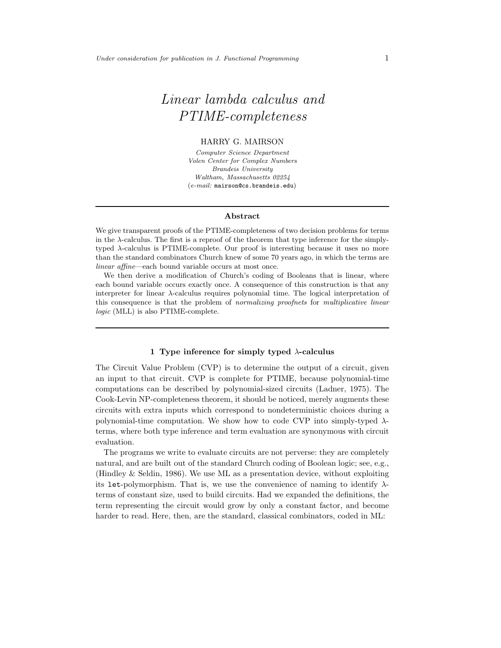# Linear lambda calculus and PTIME-completeness

# HARRY G. MAIRSON

Computer Science Department Volen Center for Complex Numbers Brandeis University Waltham, Massachusetts 02254  $(e-mail:$  mairson@cs.brandeis.edu)

#### Abstract

We give transparent proofs of the PTIME-completeness of two decision problems for terms in the  $\lambda$ -calculus. The first is a reproof of the theorem that type inference for the simplytyped λ-calculus is PTIME-complete. Our proof is interesting because it uses no more than the standard combinators Church knew of some 70 years ago, in which the terms are linear affine—each bound variable occurs at most once.

We then derive a modification of Church's coding of Booleans that is linear, where each bound variable occurs exactly once. A consequence of this construction is that any interpreter for linear  $\lambda$ -calculus requires polynomial time. The logical interpretation of this consequence is that the problem of *normalizing proofnets* for *multiplicative linear* logic (MLL) is also PTIME-complete.

## 1 Type inference for simply typed  $\lambda$ -calculus

The Circuit Value Problem (CVP) is to determine the output of a circuit, given an input to that circuit. CVP is complete for PTIME, because polynomial-time computations can be described by polynomial-sized circuits (Ladner, 1975). The Cook-Levin NP-completeness theorem, it should be noticed, merely augments these circuits with extra inputs which correspond to nondeterministic choices during a polynomial-time computation. We show how to code CVP into simply-typed  $\lambda$ terms, where both type inference and term evaluation are synonymous with circuit evaluation.

The programs we write to evaluate circuits are not perverse: they are completely natural, and are built out of the standard Church coding of Boolean logic; see, e.g., (Hindley & Seldin, 1986). We use ML as a presentation device, without exploiting its let-polymorphism. That is, we use the convenience of naming to identify  $\lambda$ terms of constant size, used to build circuits. Had we expanded the definitions, the term representing the circuit would grow by only a constant factor, and become harder to read. Here, then, are the standard, classical combinators, coded in ML: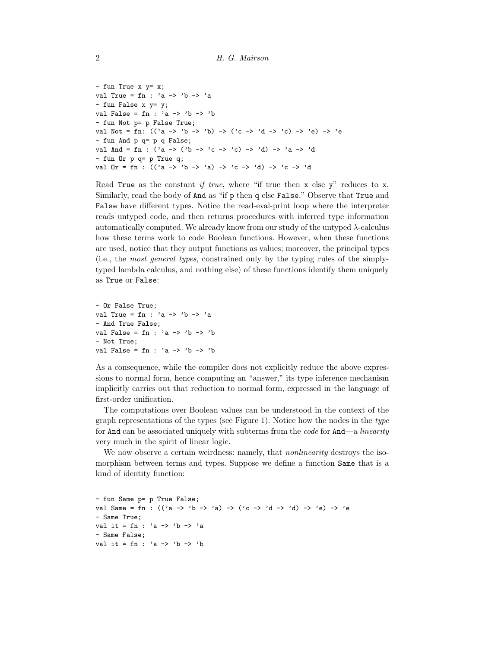```
- fun True x y= x;
val True = fn : 'a -> 'b -> 'a
- fun False x y= y;
val False = fn : 'a \rightarrow 'b \rightarrow 'b- fun Not p= p False True;
val Not = fn: ((a \rightarrow 'b \rightarrow 'b) \rightarrow ('c \rightarrow 'd \rightarrow 'c) \rightarrow 'e) \rightarrow 'e- fun And p q= p q False;
val And = fn : (\lambda a \rightarrow (\lambda b \rightarrow \lambda c \rightarrow \lambda c) \rightarrow \lambda d) \rightarrow \lambda a \rightarrow \lambda d- fun Or p q= p True q;
val 0r = fn : (('a \rightarrow 'b \rightarrow 'a) \rightarrow 'c \rightarrow 'd) \rightarrow 'c \rightarrow 'd
```
Read True as the constant if true, where "if true then  $x$  else  $y$ " reduces to x. Similarly, read the body of And as "if p then q else False." Observe that True and False have different types. Notice the read-eval-print loop where the interpreter reads untyped code, and then returns procedures with inferred type information automatically computed. We already know from our study of the untyped  $\lambda$ -calculus how these terms work to code Boolean functions. However, when these functions are used, notice that they output functions as values; moreover, the principal types (i.e., the most general types, constrained only by the typing rules of the simplytyped lambda calculus, and nothing else) of these functions identify them uniquely as True or False:

```
- Or False True;
val True = fn : 'a \rightarrow 'b \rightarrow 'a- And True False;
val False = fn : 'a \rightarrow 'b \rightarrow 'b- Not True;
val False = fn : 'a \rightarrow 'b \rightarrow 'b
```
As a consequence, while the compiler does not explicitly reduce the above expressions to normal form, hence computing an "answer," its type inference mechanism implicitly carries out that reduction to normal form, expressed in the language of first-order unification.

The computations over Boolean values can be understood in the context of the graph representations of the types (see Figure 1). Notice how the nodes in the type for And can be associated uniquely with subterms from the *code* for And—a *linearity* very much in the spirit of linear logic.

We now observe a certain weirdness: namely, that *nonlinearity* destroys the isomorphism between terms and types. Suppose we define a function Same that is a kind of identity function:

```
- fun Same p= p True False;
val Same = fn : ((a \rightarrow 'b \rightarrow 'a) \rightarrow ('c \rightarrow 'd \rightarrow 'd) \rightarrow 'e) \rightarrow 'e- Same True;
val it = fn : 'a -> 'b -> 'a
- Same False;
val it = fn : 'a \rightarrow 'b \rightarrow 'b
```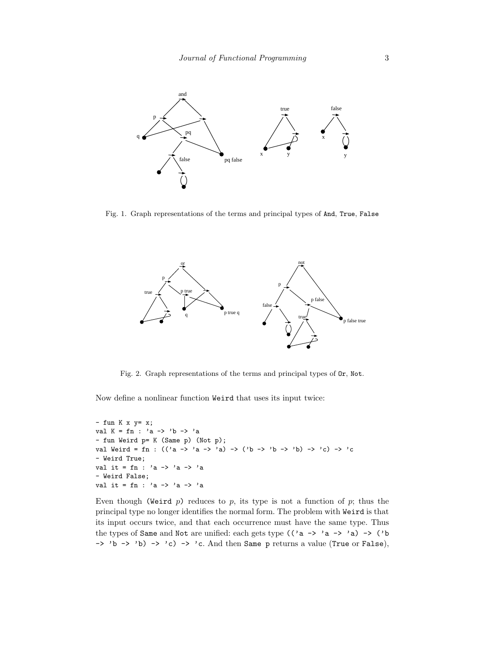

Fig. 1. Graph representations of the terms and principal types of And, True, False



Fig. 2. Graph representations of the terms and principal types of Or, Not.

Now define a nonlinear function Weird that uses its input twice:

```
- fun K x y= x;
val K = fn : 'a -> 'b -> 'a
- fun Weird p= K (Same p) (Not p);
val Weird = fn : ((a \rightarrow 'a \rightarrow 'a) \rightarrow ('b \rightarrow 'b \rightarrow 'b) \rightarrow 'c) \rightarrow 'c- Weird True;
val it = fn : 'a \rightarrow 'a \rightarrow 'a- Weird False;
val it = fn : a \rightarrow a \rightarrow a -> a
```
Even though (Weird  $p$ ) reduces to  $p$ , its type is not a function of  $p$ ; thus the principal type no longer identifies the normal form. The problem with Weird is that its input occurs twice, and that each occurrence must have the same type. Thus the types of Same and Not are unified: each gets type  $((a \rightarrow 'a \rightarrow 'a) \rightarrow 'b$  $\rightarrow$  'b  $\rightarrow$  'b)  $\rightarrow$  'c)  $\rightarrow$  'c. And then Same p returns a value (True or False),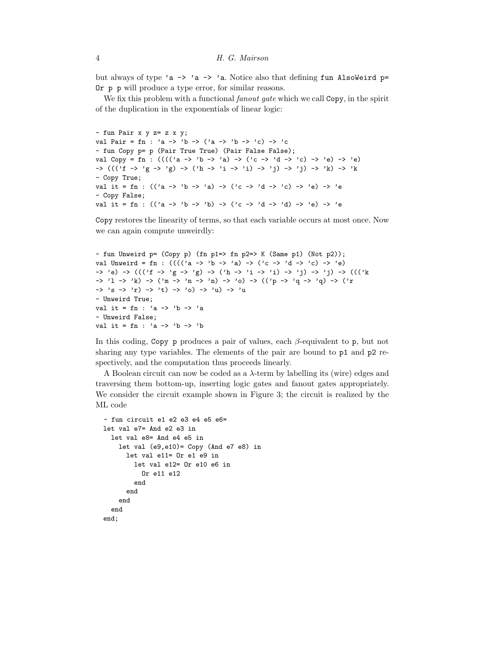but always of type 'a -> 'a -> 'a. Notice also that defining fun AlsoWeird p= Or p p will produce a type error, for similar reasons.

We fix this problem with a functional *fanout gate* which we call Copy, in the spirit of the duplication in the exponentials of linear logic:

```
- fun Pair x y z= z x y;
val Pair = fn : 'a -> 'b -> ('a -> 'b -> 'c) -> 'c
- fun Copy p= p (Pair True True) (Pair False False);
val Copy = fn : (((\n {'a -> 'b -> 'a) -> ('c -> 'd -> 'c) -> 'e) -> 'e})-> ((('f -> 'g -> 'g) -> ('h -> 'i -> 'i) -> 'j) -> 'j) -> 'k) -> 'k
- Copy True;
val it = fn : ((a \rightarrow b \rightarrow a) \rightarrow (c \rightarrow d \rightarrow c) \rightarrow (b \rightarrow c) \rightarrow (c \rightarrow c) \rightarrow c)- Copy False;
val it = fn : ((a \rightarrow 'b \rightarrow 'b) \rightarrow ('c \rightarrow 'd \rightarrow 'd) \rightarrow 'e) \rightarrow 'e
```
Copy restores the linearity of terms, so that each variable occurs at most once. Now we can again compute unweirdly:

```
- fun Unweird p= (Copy p) (fn p1=> fn p2=> K (Same p1) (Not p2));
val Unweird = fn : (((\n  'a \rightarrow 'b \rightarrow 'a) \rightarrow 'c \rightarrow 'd \rightarrow 'c) \rightarrow 'e)-> 'e) -> ((('f -> 'g -> 'g) -> ('h -> 'i -> 'i) -> 'j) -> 'j) -> ((('k
-> 'l -> 'k) -> ('m -> 'n -> 'n) -> (o) -> (('p -> 'q -> 'q) -> ('r
-> 's -> 'r) -> 't) -> 'o) -> 'u) -> 'u
- Unweird True;
val it = fn : a \rightarrow b \rightarrow a- Unweird False;
val it = fn : 'a \rightarrow 'b \rightarrow 'b
```
In this coding, Copy p produces a pair of values, each  $\beta$ -equivalent to p, but not sharing any type variables. The elements of the pair are bound to p1 and p2 respectively, and the computation thus proceeds linearly.

A Boolean circuit can now be coded as a  $\lambda$ -term by labelling its (wire) edges and traversing them bottom-up, inserting logic gates and fanout gates appropriately. We consider the circuit example shown in Figure 3; the circuit is realized by the ML code

```
- fun circuit e1 e2 e3 e4 e5 e6=
let val e7= And e2 e3 in
  let val e8= And e4 e5 in
    let val (e9,e10)= Copy (And e7 e8) in
      let val e11= Or e1 e9 in
        let val e12= Or e10 e6 in
          Or e11 e12
        end
      end
    end
  end
end;
```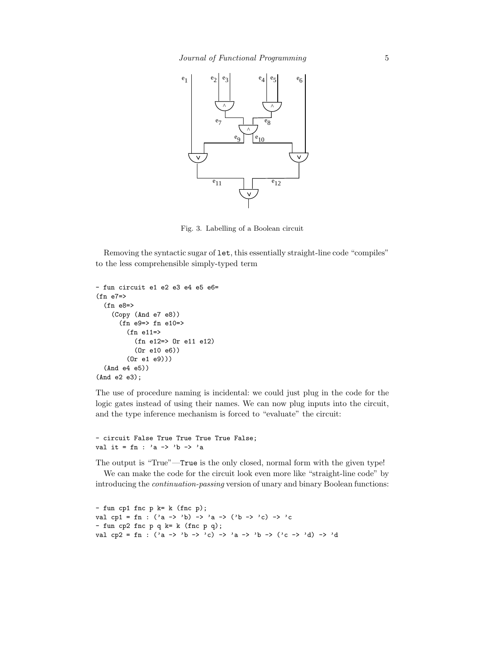

Fig. 3. Labelling of a Boolean circuit

Removing the syntactic sugar of let, this essentially straight-line code "compiles" to the less comprehensible simply-typed term

```
- fun circuit e1 e2 e3 e4 e5 e6=
(fn e7=>
  (\text{fn } e8 \Rightarrow(Copy (And e7 e8))
       (fn e9=> fn e10=>
         (fn e11=>
           (fn e12=> Or e11 e12)
           (Or e10 e6))
         (Or e1 e9)))
  (And e4 e5))
(And e2 e3);
```
The use of procedure naming is incidental: we could just plug in the code for the logic gates instead of using their names. We can now plug inputs into the circuit, and the type inference mechanism is forced to "evaluate" the circuit:

```
- circuit False True True True True False;
val it = fn : 'a \rightarrow 'b \rightarrow 'a
```
The output is "True"—True is the only closed, normal form with the given type!

We can make the code for the circuit look even more like "straight-line code" by introducing the continuation-passing version of unary and binary Boolean functions:

```
- fun cp1 fnc p k= k (fnc p);
val cp1 = fn : ('a \rightarrow 'b) \rightarrow 'a \rightarrow ('b \rightarrow 'c) \rightarrow 'c- fun cp2 fnc p q k= k (fnc p q);
val cp2 = fn : ('a \rightarrow 'b \rightarrow 'c) \rightarrow 'a \rightarrow 'b \rightarrow ('c \rightarrow 'd) \rightarrow 'd
```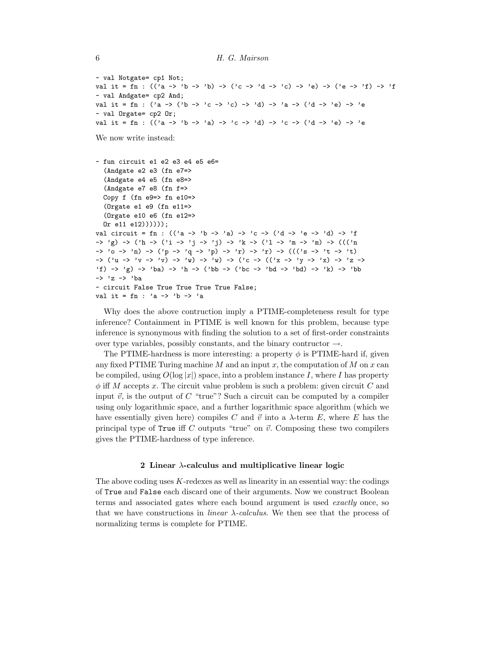```
- val Notgate= cp1 Not;
val it = fn : ((a \rightarrow 'b \rightarrow 'b) \rightarrow (c \rightarrow 'd \rightarrow 'c) \rightarrow 'e) \rightarrow (e \rightarrow 'f) \rightarrow 'f- val Andgate= cp2 And;
val it = fn : ('a -> ('b -> 'c -> 'c) -> 'd) -> 'a -> ('d -> 'e) -> 'e
- val Orgate= cp2 Or;
val it = fn : ((a \rightarrow 'b \rightarrow 'a) \rightarrow 'c \rightarrow 'd) \rightarrow 'c \rightarrow ('d \rightarrow 'e) \rightarrow 'e
```
We now write instead:

```
- fun circuit e1 e2 e3 e4 e5 e6=
  (Andgate e2 e3 (fn e7=>
  (Andgate e4 e5 (fn e8=>
  (Andgate e7 e8 (fn f=>
 Copy f (fn e9=> fn e10=>
  (Orgate e1 e9 (fn e11=>
  (Orgate e10 e6 (fn e12=>
  0r e11 e12)))))));
val circuit = fn : ((a \rightarrow b \rightarrow a) \rightarrow c \rightarrow (d \rightarrow e \rightarrow d) \rightarrow f-> 'g) -> ('h -> ('i -> 'j -> 'j) -> 'k -> ('l -> 'm -> 'm) -> ((('n
-> 'o -> 'n) -> ('p -> 'q -> 'p) -> 'r) -> 'r) -> ((('s -> 't -> 't)
-> ('u -> 'v -> 'v) -> 'w) -> 'w) -> ('c -> (('x -> 'y -> 'x) -> 'z ->
'f) -> 'g) -> 'ba) -> 'h -> ('bb -> ('bc -> 'bd -> 'bd) -> 'k) -> 'bb
-> 'z -> 'ba
- circuit False True True True True False;
val it = fn : 'a \rightarrow 'b \rightarrow 'a
```
Why does the above contruction imply a PTIME-completeness result for type inference? Containment in PTIME is well known for this problem, because type inference is synonymous with finding the solution to a set of first-order constraints over type variables, possibly constants, and the binary contructor  $\rightarrow$ .

The PTIME-hardness is more interesting: a property  $\phi$  is PTIME-hard if, given any fixed PTIME Turing machine  $M$  and an input  $x$ , the computation of  $M$  on  $x$  can be compiled, using  $O(\log |x|)$  space, into a problem instance I, where I has property  $\phi$  iff M accepts x. The circuit value problem is such a problem: given circuit C and input  $\vec{v}$ , is the output of C "true"? Such a circuit can be computed by a compiler using only logarithmic space, and a further logarithmic space algorithm (which we have essentially given here) compiles C and  $\vec{v}$  into a  $\lambda$ -term E, where E has the principal type of True iff C outputs "true" on  $\vec{v}$ . Composing these two compilers gives the PTIME-hardness of type inference.

## 2 Linear  $\lambda$ -calculus and multiplicative linear logic

The above coding uses K-redexes as well as linearity in an essential way: the codings of True and False each discard one of their arguments. Now we construct Boolean terms and associated gates where each bound argument is used exactly once, so that we have constructions in *linear*  $\lambda$ -calculus. We then see that the process of normalizing terms is complete for PTIME.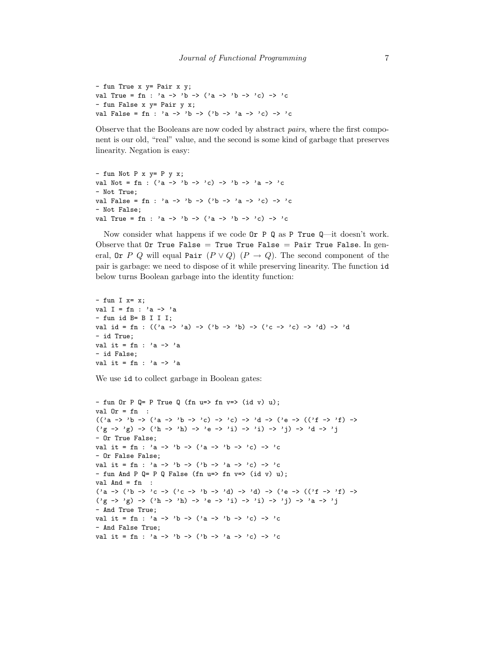```
- fun True x y= Pair x y;
val True = fn : 'a -> 'b -> ('a -> 'b -> 'c) -> 'c
- fun False x y= Pair y x;
val False = fn : 'a -> 'b -> ('b -> 'a -> 'c) -> 'c
```
Observe that the Booleans are now coded by abstract pairs, where the first component is our old, "real" value, and the second is some kind of garbage that preserves linearity. Negation is easy:

```
- fun Not P x y= P y x;
val Not = fn : ('a \rightarrow 'b \rightarrow 'c) \rightarrow 'b \rightarrow 'a \rightarrow 'c- Not True;
val False = fn : 'a -> 'b -> ('b -> 'a -> 'c) -> 'c
- Not False;
val True = fn : 'a -> 'b -> ('a -> 'b -> 'c) -> 'c
```
Now consider what happens if we code  $\texttt{Or } P \downarrow \text{as } P$  True  $\texttt{Q}$ —it doesn't work. Observe that  $0r$  True False = True True False = Pair True False. In general, Or P Q will equal Pair  $(P \vee Q)$   $(P \rightarrow Q)$ . The second component of the pair is garbage: we need to dispose of it while preserving linearity. The function id below turns Boolean garbage into the identity function:

```
- fun I x= x;
val I = fn : 'a \rightarrow 'a- fun id B = B I I I;
val id = fn : ((a \rightarrow 'a) \rightarrow ('b \rightarrow 'b) \rightarrow ('c \rightarrow 'c) \rightarrow 'd) \rightarrow 'd- id True;
val it = fn : 'a \rightarrow 'a- id False;
val it = fn : a \rightarrow 'a
```
We use id to collect garbage in Boolean gates:

```
- fun 0r P Q= P True Q (fn u=> fn v=> (id v) u);
val 0r = fn :
((a \rightarrow 'b \rightarrow 'b \rightarrow 'c \rightarrow 'c) \rightarrow 'c) \rightarrow 'd \rightarrow ('e \rightarrow ('f \rightarrow 'f) \rightarrow 'c)('g -> 'g) -> ('h -> 'h) -> 'e -> 'i) -> 'i) -> 'j) -> 'd -> 'j
- Or True False;
val it = fn : 'a -> 'b -> ('a -> 'b -> 'c) -> 'c
- Or False False;
val it = fn : 'a -> 'b -> ('b -> 'a -> 'c) -> 'c
- fun And P Q = P Q False (fn u => fn v => (id v) u);
val And = fn :
('a -> ('b -> 'c -> ('c -> 'b -> 'd) -> 'd) -> ('e -> (('f -> 'f) ->
('g -> 'g) -> ('h -> 'h) -> 'e -> 'i) -> 'i) -> 'j) -> 'a -> 'j
- And True True;
val it = fn : 'a -> 'b -> ('a -> 'b -> 'c) -> 'c
- And False True;
val it = fn : 'a -> 'b -> ('b -> 'a -> 'c) -> 'c
```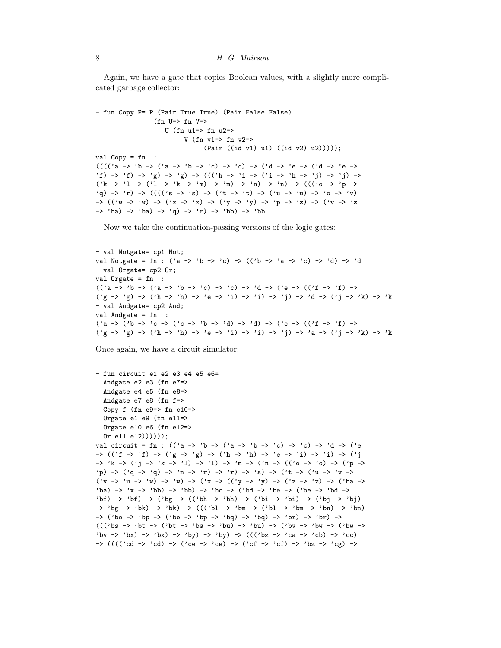Again, we have a gate that copies Boolean values, with a slightly more complicated garbage collector:

```
- fun Copy P= P (Pair True True) (Pair False False)
                 (fn U=> fn V=>
                    U (fn u1=> fn u2=>V (fn v1 = > fn v2 = >(Pair ((id v1) u1) ((id v2) u2)))));
val Copy = fn :
(((('a -> 'b -> ('a -> 'b -> 'c) -> 'c) -> ('d -> 'e -> ('d -> 'e ->
'f) -> 'f) -> 'g) -> 'g) -> ((('h -> 'i -> ('i -> 'h -> 'j) -> 'j) ->
('k -> 'l -> ('l -> 'k -> 'm) -> 'm) -> 'n) -> 'n) -> ((('o -> 'p ->
'q) -> 'r) -> (((('s -> 's) -> ('t -> 't) -> ('u -> 'u) -> 'o -> 'v)
-> (('w \rightarrow 'w) \rightarrow ('x \rightarrow 'x) \rightarrow ('y \rightarrow 'y) \rightarrow 'p \rightarrow 'z) \rightarrow ('y \rightarrow 'z)-> 'ba) -> 'ba) -> 'q) -> 'r) -> 'bb) -> 'bb
```
Now we take the continuation-passing versions of the logic gates:

- val Notgate= cp1 Not; val Notgate = fn :  $('a \rightarrow 'b \rightarrow 'c) \rightarrow (('b \rightarrow 'a \rightarrow 'c) \rightarrow 'd) \rightarrow 'd$ - val Orgate= cp2 Or; val Orgate = fn :  $((a \rightarrow 'b \rightarrow 'b \rightarrow 'a \rightarrow 'b \rightarrow 'c) \rightarrow 'c) \rightarrow 'd \rightarrow ('e \rightarrow ('f \rightarrow 'f) \rightarrow 'c)$ ('g -> 'g) -> ('h -> 'h) -> 'e -> 'i) -> 'i) -> 'j) -> 'd -> ('j -> 'k) -> 'k - val Andgate= cp2 And; val Andgate = fn : ('a -> ('b -> 'c -> ('c -> 'b -> 'd) -> (d) -> ('e -> ('f -> 'f) -> ('g -> 'g) -> ('h -> 'h) -> 'e -> 'i) -> 'i) -> 'j) -> 'a -> ('j -> 'k) -> 'k

Once again, we have a circuit simulator:

```
- fun circuit e1 e2 e3 e4 e5 e6=
  Andgate e2 e3 (fn e7=>
  Andgate e4 e5 (fn e8=>
  Andgate e7 e8 (fn f=>
  Copy f (fn e9=> fn e10=>
  Orgate e1 e9 (fn e11=>
  Orgate e10 e6 (fn e12=>
  Or e11 e12))))));
val circuit = fn : ((a \rightarrow 'b \rightarrow 'c \rightarrow 'b \rightarrow 'c) \rightarrow 'c) \rightarrow 'd \rightarrow ('e-> (('f -> 'f) -> ('g -> 'g) -> ('h -> 'h) -> 'e -> 'i) -> 'i) -> ('j
-> 'k -> ('j -> 'k -> 'l) -> 'l) -> 'm -> ('n -> (('o -> 'o) -> ('p ->
'p) -> ('q -> 'q) -> 'n -> 'r) -> 'r) -> 's) -> ('t -> ('u -> 'v ->
('v -> 'u -> 'w) -> 'w) -> ('x -> (('y -> 'y) -> ('z -> 'z) -> ('ba ->
'ba) -> 'x -> 'bb) -> 'bb) -> 'bc -> ('bd -> 'be -> ('be -> 'bd ->
'bf) -> 'bf) -> ('bg -> (('bh -> 'bh) -> ('bi -> 'bi) -> ('bj -> 'bj)
-> 'bg -> 'bk) -> 'bk) -> ((('bl -> 'bm -> ('bl -> 'bm -> 'bn) -> 'bn)
-> ('bo -> 'bp -> ('bo -> 'bp -> 'bq) -> 'bq) -> 'br) -> 'br) ->
(((\text{ 'bs -> 'bt -> ('bt -> 'bs -> 'bu) -> 'bu) -> ('bv -> 'bw -> ('b w -> 'b w -> 'b w -> 'b w -> 'b w -> 'b w -> 'b w -> 'b w -> 'b w -> 'b w -> 'b w -> 'b w -> 'b w -> 'b w -> 'b w -> 'b w -> 'b w -> 'b w -> 'b w -> 'b w -> 'b w -> 'b w -> 'b w -> 'b w -&'bv -> 'bx) -> 'bx) -> 'by) -> 'by) -> ((('bz -> 'ca -> 'cb) -> 'cc)
-> (((('cd -> 'cd) -> ('ce -> 'ce) -> ('cf -> 'cf) -> 'bz -> 'cg) ->
```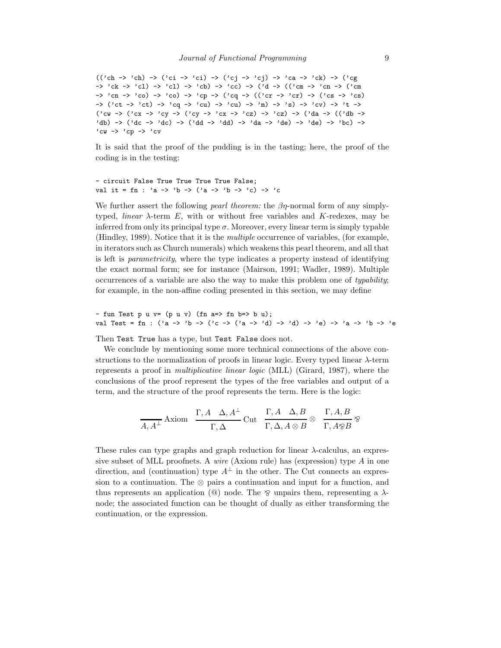$((\text{'ch} \rightarrow \text{'ch}) \rightarrow (\text{'ci} \rightarrow \text{'ci}) \rightarrow (\text{'cj} \rightarrow \text{'cj}) \rightarrow \text{'ca} \rightarrow \text{'ck}) \rightarrow (\text{'cg}$ -> 'ck -> 'cl) -> 'cl) -> 'cb) -> 'cc) -> ('d -> (('cm -> 'cn -> ('cm -> 'cn -> 'co) -> 'co) -> 'cp -> ('cq -> (('cr -> 'cr) -> ('cs -> 'cs) -> ('ct -> 'ct) -> 'cq -> 'cu) -> 'cu) -> 'm) -> 's) -> 'cv) -> 't -> ('cw -> ('cx -> 'cy -> ('cy -> 'cx -> 'cz) -> 'cz) -> ('da -> (('db -> 'db) -> ('dc -> 'dc) -> ('dd -> 'dd) -> 'da -> 'de) -> 'de) -> 'bc) ->  $'$ cw  $\rightarrow$  'cp  $\rightarrow$  'cv

It is said that the proof of the pudding is in the tasting; here, the proof of the coding is in the testing:

```
- circuit False True True True True False;
val it = fn : 'a -> 'b -> ('a -> 'b -> 'c) -> 'c
```
We further assert the following *pearl theorem:* the  $\beta\eta$ -normal form of any simplytyped, *linear*  $\lambda$ -term  $E$ , with or without free variables and K-redexes, may be inferred from only its principal type  $\sigma$ . Moreover, every linear term is simply typable (Hindley, 1989). Notice that it is the multiple occurrence of variables, (for example, in iterators such as Church numerals) which weakens this pearl theorem, and all that is left is parametricity, where the type indicates a property instead of identifying the exact normal form; see for instance (Mairson, 1991; Wadler, 1989). Multiple occurrences of a variable are also the way to make this problem one of typability; for example, in the non-affine coding presented in this section, we may define

- fun Test  $p$   $u$   $v=$   $(p$   $u$   $v)$   $(fn$   $a=$   $>$   $fn$   $b=$   $>$   $b$   $u)$ ; val Test = fn :  $('a \rightarrow 'b \rightarrow ('c \rightarrow ('a \rightarrow 'd) \rightarrow 'd) \rightarrow 'e) \rightarrow 'a \rightarrow 'b \rightarrow 'e$ 

Then Test True has a type, but Test False does not.

We conclude by mentioning some more technical connections of the above constructions to the normalization of proofs in linear logic. Every typed linear  $\lambda$ -term represents a proof in multiplicative linear logic (MLL) (Girard, 1987), where the conclusions of the proof represent the types of the free variables and output of a term, and the structure of the proof represents the term. Here is the logic:

$$
\frac{\Gamma, A \quad \Delta, A^{\perp}}{A, A^{\perp}} \text{ Axiom } \frac{\Gamma, A \quad \Delta, A^{\perp}}{\Gamma, \Delta} \text{ Cut } \frac{\Gamma, A \quad \Delta, B}{\Gamma, \Delta, A \otimes B} \otimes \frac{\Gamma, A, B}{\Gamma, A \otimes B} \otimes
$$

These rules can type graphs and graph reduction for linear  $\lambda$ -calculus, an expressive subset of MLL proofnets. A *wire* (Axiom rule) has (expression) type  $A$  in one direction, and (continuation) type  $A^{\perp}$  in the other. The Cut connects an expression to a continuation. The ⊗ pairs a continuation and input for a function, and thus represents an application ( $\circledcirc$ ) node. The  $\circledcirc$  unpairs them, representing a  $\lambda$ node; the associated function can be thought of dually as either transforming the continuation, or the expression.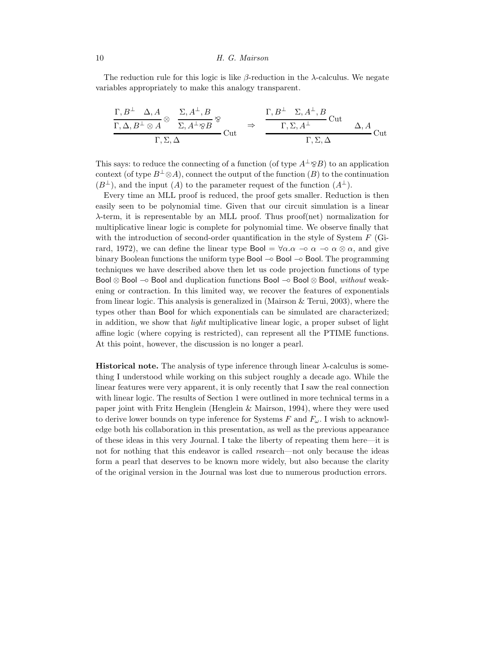#### 10 H. G. Mairson

The reduction rule for this logic is like  $\beta$ -reduction in the  $\lambda$ -calculus. We negate variables appropriately to make this analogy transparent.

$$
\frac{\Gamma, B^{\perp} \quad \Delta, A}{\Gamma, \Delta, B^{\perp} \otimes A} \otimes \frac{\Sigma, A^{\perp}, B}{\Sigma, A^{\perp} \otimes B} \otimes \text{Cut} \Rightarrow \frac{\Gamma, B^{\perp} \quad \Sigma, A^{\perp}, B}{\Gamma, \Sigma, A^{\perp}} \text{Cut} \quad \Delta, A}{\Gamma, \Sigma, \Delta} \text{Cut}
$$

This says: to reduce the connecting of a function (of type  $A^{\perp} \otimes B$ ) to an application context (of type  $B^{\perp} \otimes A$ ), connect the output of the function  $(B)$  to the continuation  $(B^{\perp})$ , and the input  $(A)$  to the parameter request of the function  $(A^{\perp})$ .

Every time an MLL proof is reduced, the proof gets smaller. Reduction is then easily seen to be polynomial time. Given that our circuit simulation is a linear  $\lambda$ -term, it is representable by an MLL proof. Thus proof(net) normalization for multiplicative linear logic is complete for polynomial time. We observe finally that with the introduction of second-order quantification in the style of System  $F$  (Girard, 1972), we can define the linear type  $Bool = \forall \alpha \alpha \rightarrow \alpha \otimes \alpha$  and give binary Boolean functions the uniform type Bool −◦ Bool −◦ Bool. The programming techniques we have described above then let us code projection functions of type Bool ⊗ Bool −◦ Bool and duplication functions Bool −◦ Bool ⊗ Bool, without weakening or contraction. In this limited way, we recover the features of exponentials from linear logic. This analysis is generalized in (Mairson & Terui, 2003), where the types other than Bool for which exponentials can be simulated are characterized; in addition, we show that light multiplicative linear logic, a proper subset of light affine logic (where copying is restricted), can represent all the PTIME functions. At this point, however, the discussion is no longer a pearl.

**Historical note.** The analysis of type inference through linear  $\lambda$ -calculus is something I understood while working on this subject roughly a decade ago. While the linear features were very apparent, it is only recently that I saw the real connection with linear logic. The results of Section 1 were outlined in more technical terms in a paper joint with Fritz Henglein (Henglein & Mairson, 1994), where they were used to derive lower bounds on type inference for Systems F and  $F_\omega$ . I wish to acknowledge both his collaboration in this presentation, as well as the previous appearance of these ideas in this very Journal. I take the liberty of repeating them here—it is not for nothing that this endeavor is called research—not only because the ideas form a pearl that deserves to be known more widely, but also because the clarity of the original version in the Journal was lost due to numerous production errors.